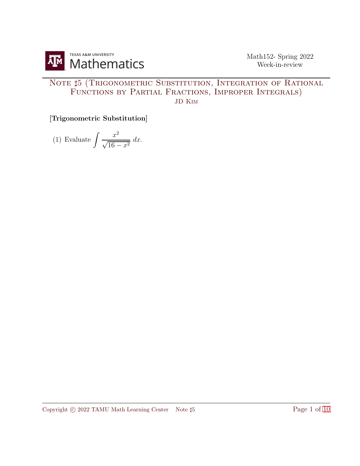

## NOTE  $\sharp 5$  (TRIGONOMETRIC SUBSTITUTION, INTEGRATION OF RATIONAL FUNCTIONS BY PARTIAL FRACTIONS, IMPROPER INTEGRALS) JD Kim

[Trigonometric Substitution]

(1) Evaluate  $\int \frac{x^2}{\sqrt{1-x^2}}$  $\frac{x}{\sqrt{16-x^2}}$  dx.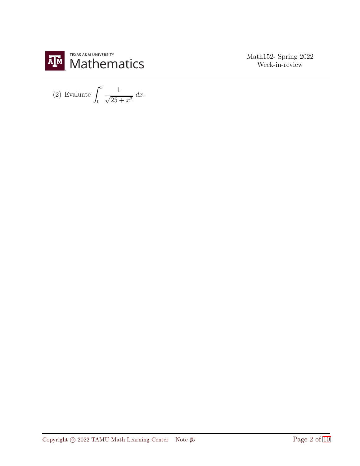

(2) Evaluate  $\int_0^5$  $\overline{0}$ 1  $\frac{1}{\sqrt{25+x^2}} dx.$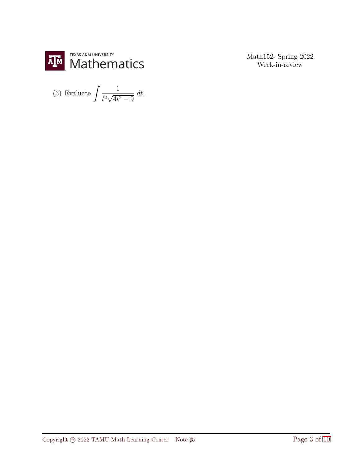

(3) Evaluate 
$$
\int \frac{1}{t^2 \sqrt{4t^2 - 9}} dt.
$$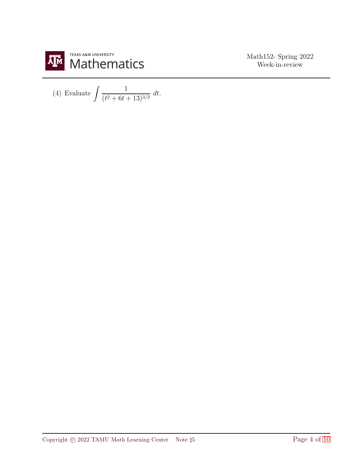

(4) Evaluate 
$$
\int \frac{1}{(t^2 + 6t + 13)^{3/2}} \, dt.
$$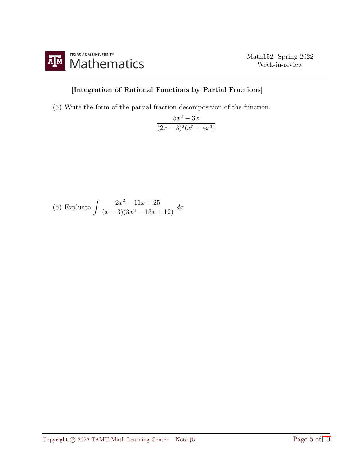

## [Integration of Rational Functions by Partial Fractions]

(5) Write the form of the partial fraction decomposition of the function.

$$
\frac{5x^3 - 3x}{(2x - 3)^2(x^5 + 4x^3)}
$$

(6) Evaluate 
$$
\int \frac{2x^2 - 11x + 25}{(x - 3)(3x^2 - 13x + 12)} dx.
$$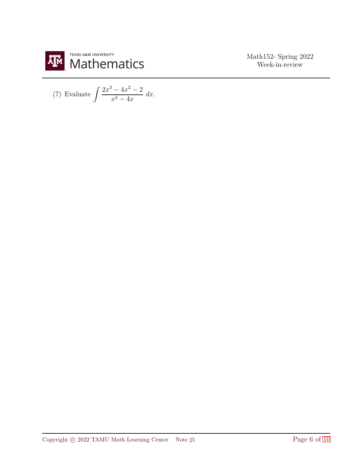

(7) Evaluate 
$$
\int \frac{2x^3 - 4x^2 - 2}{x^2 - 4x} dx.
$$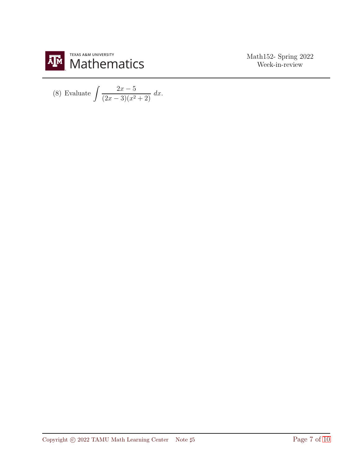

(8) Evaluate 
$$
\int \frac{2x-5}{(2x-3)(x^2+2)} dx.
$$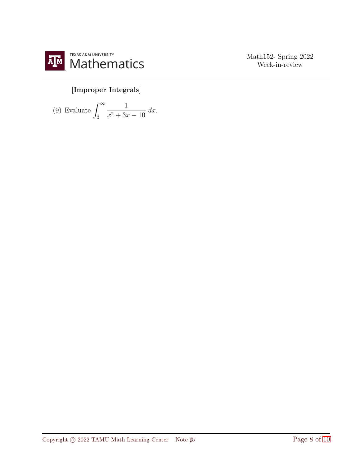

## [Improper Integrals]

(9) Evaluate 
$$
\int_3^{\infty} \frac{1}{x^2 + 3x - 10} dx
$$
.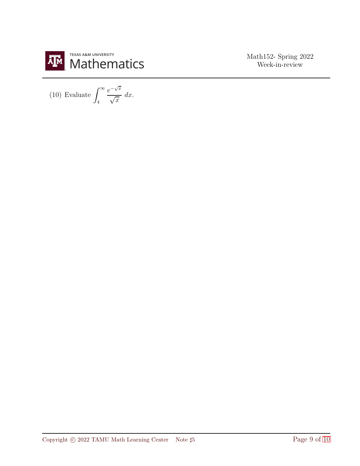

(10) Evaluate  $\int^{\infty}$ 4  $e^{-\sqrt{x}}$  $\sqrt{x}$  $dx$ .